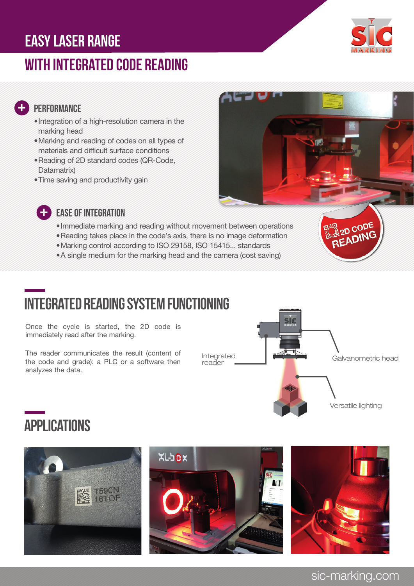### easy laser range

### with Integrated code reading



#### **PERFORMANCE**

 $\frac{1}{\sqrt{2}}$ 

- •Integration of a high-resolution camera in the marking head
- •Marking and reading of codes on all types of materials and difficult surface conditions
- •Reading of 2D standard codes (QR-Code, Datamatrix)
- •Time saving and productivity gain





### EASE OF INTEGRATION

- •Immediate marking and reading without movement between operations
- •Reading takes place in the code's axis, there is no image deformation
- •Marking control according to ISO 29158, ISO 15415... standards
- •A single medium for the marking head and the camera (cost saving)



## Integrated reading system functioning

Once the cycle is started, the 2D code is immediately read after the marking.

The reader communicates the result (content of the code and grade): a PLC or a software then analyzes the data.



## **APPLICATIONS**







### sic-marking.com